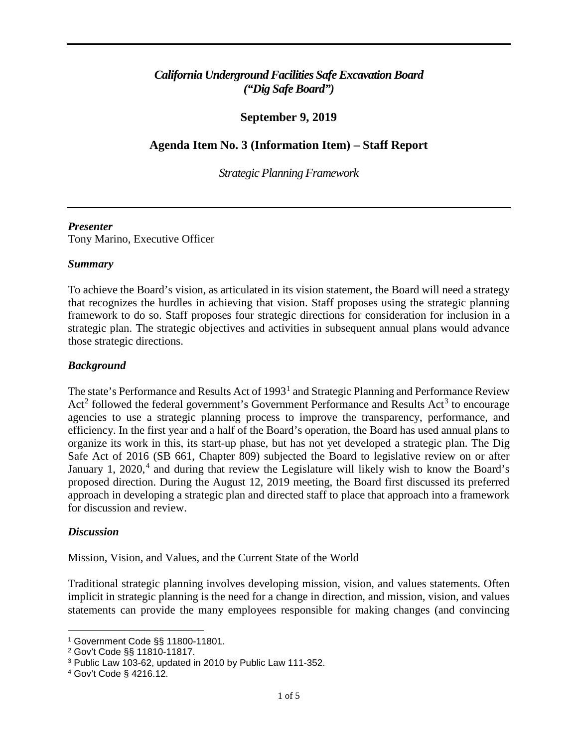# *California Underground Facilities Safe Excavation Board ("Dig Safe Board")*

# **September 9, 2019**

# **Agenda Item No. 3 (Information Item) – Staff Report**

 *Strategic Planning Framework* 

## *Presenter*

Tony Marino, Executive Officer

## *Summary*

To achieve the Board's vision, as articulated in its vision statement, the Board will need a strategy that recognizes the hurdles in achieving that vision. Staff proposes using the strategic planning framework to do so. Staff proposes four strategic directions for consideration for inclusion in a strategic plan. The strategic objectives and activities in subsequent annual plans would advance those strategic directions.

## *Background*

 agencies to use a strategic planning process to improve the transparency, performance, and Safe Act of 2016 (SB 661, Chapter 809) subjected the Board to legislative review on or after The state's Performance and Results Act of 1993<sup>1</sup> and Strategic Planning and Performance Review Act<sup>2</sup> followed the federal government's Government Performance and Results Act<sup>[3](#page-0-2)</sup> to encourage efficiency. In the first year and a half of the Board's operation, the Board has used annual plans to organize its work in this, its start-up phase, but has not yet developed a strategic plan. The Dig January 1, 2020,<sup>[4](#page-0-3)</sup> and during that review the Legislature will likely wish to know the Board's proposed direction. During the August 12, 2019 meeting, the Board first discussed its preferred approach in developing a strategic plan and directed staff to place that approach into a framework for discussion and review.

## *Discussion*

#### Mission, Vision, and Values, and the Current State of the World

 Traditional strategic planning involves developing mission, vision, and values statements. Often implicit in strategic planning is the need for a change in direction, and mission, vision, and values statements can provide the many employees responsible for making changes (and convincing

 $\overline{a}$ 

<span id="page-0-2"></span><span id="page-0-1"></span>

<span id="page-0-0"></span><sup>&</sup>lt;sup>1</sup> Government Code §§ 11800-11801.<br><sup>2</sup> Gov't Code §§ 11810-11817.<br><sup>3</sup> Public Law 103-62, updated in 2010 by Public Law 111-352.

<span id="page-0-3"></span> 4 Gov't Code § 4216.12.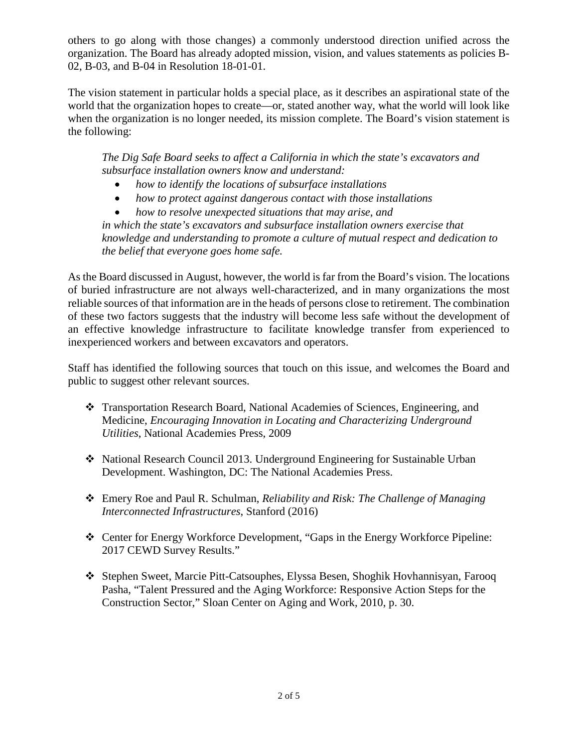organization. The Board has already adopted mission, vision, and values statements as policies Bothers to go along with those changes) a commonly understood direction unified across the 02, B-03, and B-04 in Resolution 18-01-01.

 The vision statement in particular holds a special place, as it describes an aspirational state of the world that the organization hopes to create—or, stated another way, what the world will look like when the organization is no longer needed, its mission complete. The Board's vision statement is the following:

*The Dig Safe Board seeks to affect a California in which the state's excavators and subsurface installation owners know and understand:* 

- *how to identify the locations of subsurface installations*
- *how to protect against dangerous contact with those installations*
- *how to resolve unexpected situations that may arise, and*

*in which the state's excavators and subsurface installation owners exercise that knowledge and understanding to promote a culture of mutual respect and dedication to the belief that everyone goes home safe.* 

As the Board discussed in August, however, the world is far from the Board's vision. The locations of buried infrastructure are not always well-characterized, and in many organizations the most reliable sources of that information are in the heads of persons close to retirement. The combination of these two factors suggests that the industry will become less safe without the development of an effective knowledge infrastructure to facilitate knowledge transfer from experienced to inexperienced workers and between excavators and operators.

 public to suggest other relevant sources. Staff has identified the following sources that touch on this issue, and welcomes the Board and

- Transportation Research Board, National Academies of Sciences, Engineering, and Medicine, *Encouraging Innovation in Locating and Characterizing Underground Utilities*, National Academies Press, 2009
- National Research Council 2013. Underground Engineering for Sustainable Urban Development. Washington, DC: The National Academies Press.
- Emery Roe and Paul R. Schulman, *Reliability and Risk: The Challenge of Managing Interconnected Infrastructures*, Stanford (2016)
- Center for Energy Workforce Development, "Gaps in the Energy Workforce Pipeline: 2017 CEWD Survey Results."
- Stephen Sweet, Marcie Pitt-Catsouphes, Elyssa Besen, Shoghik Hovhannisyan, Farooq Pasha, "Talent Pressured and the Aging Workforce: Responsive Action Steps for the Construction Sector," Sloan Center on Aging and Work, 2010, p. 30.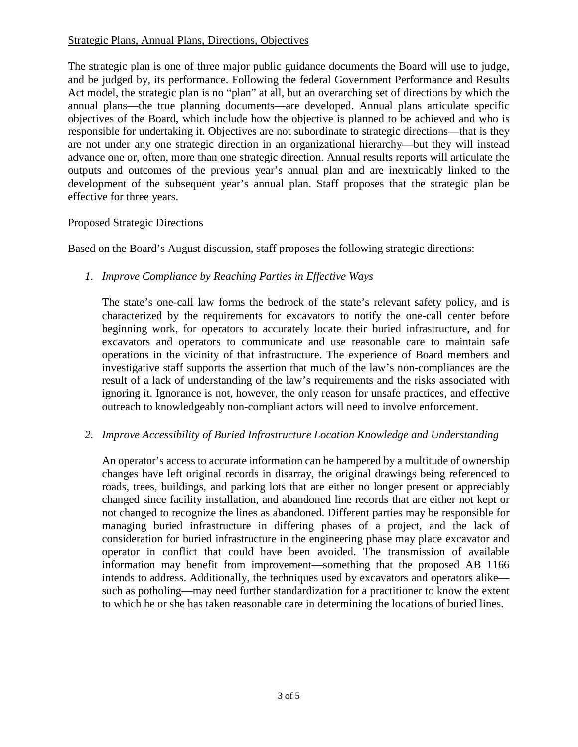## Strategic Plans, Annual Plans, Directions, Objectives

 Act model, the strategic plan is no "plan" at all, but an overarching set of directions by which the development of the subsequent year's annual plan. Staff proposes that the strategic plan be The strategic plan is one of three major public guidance documents the Board will use to judge, and be judged by, its performance. Following the federal Government Performance and Results annual plans—the true planning documents—are developed. Annual plans articulate specific objectives of the Board, which include how the objective is planned to be achieved and who is responsible for undertaking it. Objectives are not subordinate to strategic directions—that is they are not under any one strategic direction in an organizational hierarchy—but they will instead advance one or, often, more than one strategic direction. Annual results reports will articulate the outputs and outcomes of the previous year's annual plan and are inextricably linked to the effective for three years.

## Proposed Strategic Directions

Based on the Board's August discussion, staff proposes the following strategic directions:

 *1. Improve Compliance by Reaching Parties in Effective Ways* 

The state's one-call law forms the bedrock of the state's relevant safety policy, and is characterized by the requirements for excavators to notify the one-call center before beginning work, for operators to accurately locate their buried infrastructure, and for excavators and operators to communicate and use reasonable care to maintain safe operations in the vicinity of that infrastructure. The experience of Board members and investigative staff supports the assertion that much of the law's non-compliances are the result of a lack of understanding of the law's requirements and the risks associated with ignoring it. Ignorance is not, however, the only reason for unsafe practices, and effective outreach to knowledgeably non-compliant actors will need to involve enforcement.

#### *2. Improve Accessibility of Buried Infrastructure Location Knowledge and Understanding*

 roads, trees, buildings, and parking lots that are either no longer present or appreciably managing buried infrastructure in differing phases of a project, and the lack of operator in conflict that could have been avoided. The transmission of available An operator's access to accurate information can be hampered by a multitude of ownership changes have left original records in disarray, the original drawings being referenced to changed since facility installation, and abandoned line records that are either not kept or not changed to recognize the lines as abandoned. Different parties may be responsible for consideration for buried infrastructure in the engineering phase may place excavator and information may benefit from improvement—something that the proposed AB 1166 intends to address. Additionally, the techniques used by excavators and operators alike such as potholing—may need further standardization for a practitioner to know the extent to which he or she has taken reasonable care in determining the locations of buried lines.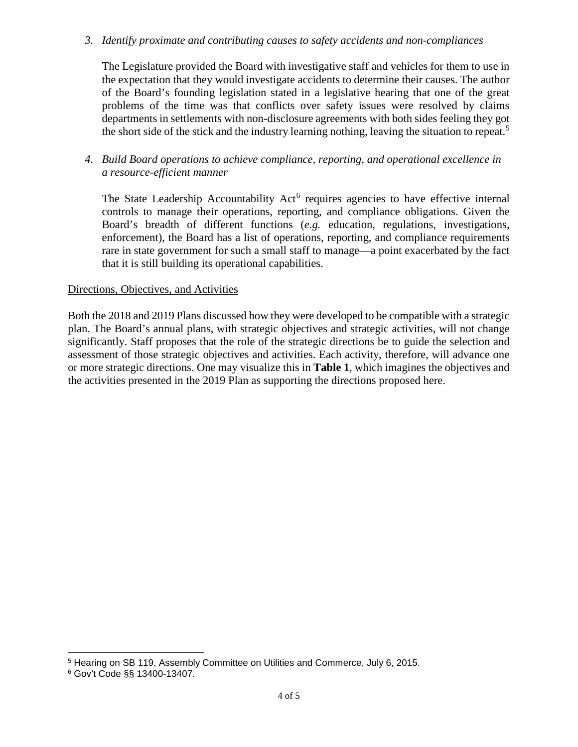*3. Identify proximate and contributing causes to safety accidents and non-compliances* 

 problems of the time was that conflicts over safety issues were resolved by claims The Legislature provided the Board with investigative staff and vehicles for them to use in the expectation that they would investigate accidents to determine their causes. The author of the Board's founding legislation stated in a legislative hearing that one of the great departments in settlements with non-disclosure agreements with both sides feeling they got the short side of the stick and the industry learning nothing, leaving the situation to repeat. [5](#page-3-0) 

## *4. Build Board operations to achieve compliance, reporting, and operational excellence in a resource-efficient manner*

 enforcement), the Board has a list of operations, reporting, and compliance requirements The State Leadership Accountability Act<sup>[6](#page-3-1)</sup> requires agencies to have effective internal controls to manage their operations, reporting, and compliance obligations. Given the Board's breadth of different functions (*e.g.* education, regulations, investigations, rare in state government for such a small staff to manage—a point exacerbated by the fact that it is still building its operational capabilities.

## Directions, Objectives, and Activities

 the activities presented in the 2019 Plan as supporting the directions proposed here. Both the 2018 and 2019 Plans discussed how they were developed to be compatible with a strategic plan. The Board's annual plans, with strategic objectives and strategic activities, will not change significantly. Staff proposes that the role of the strategic directions be to guide the selection and assessment of those strategic objectives and activities. Each activity, therefore, will advance one or more strategic directions. One may visualize this in **Table 1**, which imagines the objectives and

 $\overline{a}$ 

<span id="page-3-0"></span> 5 Hearing on SB 119, Assembly Committee on Utilities and Commerce, July 6, 2015.

<span id="page-3-1"></span><sup>6</sup> Gov't Code §§ 13400-13407.